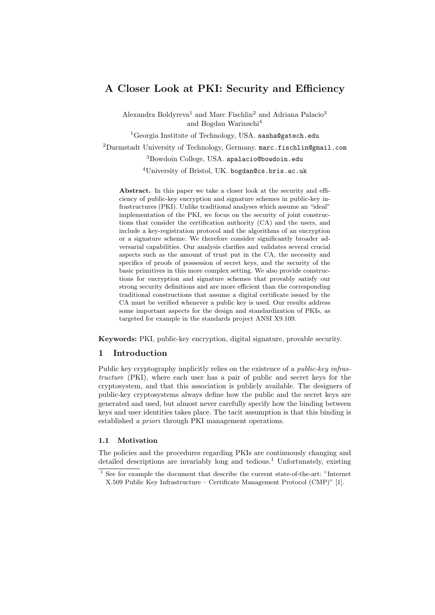# A Closer Look at PKI: Security and Efficiency

Alexandra Boldyreva<sup>1</sup> and Marc Fischlin<sup>2</sup> and Adriana Palacio<sup>3</sup> and Bogdan Warinschi<sup>4</sup>

<sup>1</sup>Georgia Institute of Technology, USA. sasha@gatech.edu

<sup>2</sup>Darmstadt University of Technology, Germany. marc.fischlin@gmail.com

<sup>3</sup>Bowdoin College, USA. apalacio@bowdoin.edu <sup>4</sup>University of Bristol, UK. bogdan@cs.bris.ac.uk

Abstract. In this paper we take a closer look at the security and efficiency of public-key encryption and signature schemes in public-key infrastructures (PKI). Unlike traditional analyses which assume an "ideal" implementation of the PKI, we focus on the security of joint constructions that consider the certification authority (CA) and the users, and include a key-registration protocol and the algorithms of an encryption or a signature scheme. We therefore consider significantly broader adversarial capabilities. Our analysis clarifies and validates several crucial aspects such as the amount of trust put in the CA, the necessity and specifics of proofs of possession of secret keys, and the security of the basic primitives in this more complex setting. We also provide constructions for encryption and signature schemes that provably satisfy our strong security definitions and are more efficient than the corresponding traditional constructions that assume a digital certificate issued by the CA must be verified whenever a public key is used. Our results address some important aspects for the design and standardization of PKIs, as targeted for example in the standards project ANSI X9.109.

Keywords: PKI, public-key encryption, digital signature, provable security.

# 1 Introduction

Public key cryptography implicitly relies on the existence of a *public-key infras*tructure (PKI), where each user has a pair of public and secret keys for the cryptosystem, and that this association is publicly available. The designers of public-key cryptosystems always define how the public and the secret keys are generated and used, but almost never carefully specify how the binding between keys and user identities takes place. The tacit assumption is that this binding is established a priori through PKI management operations.

#### 1.1 Motivation

The policies and the procedures regarding PKIs are continuously changing and  $\alpha$  detailed descriptions are invariably long and tedious.<sup>1</sup> Unfortunately, existing

<sup>1</sup> See for example the document that describe the current state-of-the-art: "Internet X.509 Public Key Infrastructure – Certificate Management Protocol (CMP)" [1].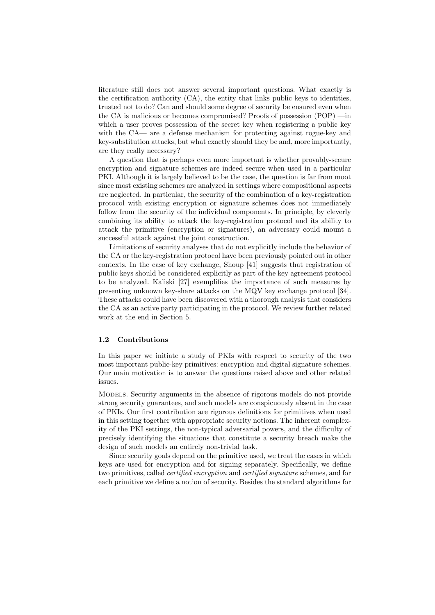literature still does not answer several important questions. What exactly is the certification authority  $(CA)$ , the entity that links public keys to identities, trusted not to do? Can and should some degree of security be ensured even when the CA is malicious or becomes compromised? Proofs of possession (POP) —in which a user proves possession of the secret key when registering a public key with the CA— are a defense mechanism for protecting against rogue-key and key-substitution attacks, but what exactly should they be and, more importantly, are they really necessary?

A question that is perhaps even more important is whether provably-secure encryption and signature schemes are indeed secure when used in a particular PKI. Although it is largely believed to be the case, the question is far from moot since most existing schemes are analyzed in settings where compositional aspects are neglected. In particular, the security of the combination of a key-registration protocol with existing encryption or signature schemes does not immediately follow from the security of the individual components. In principle, by cleverly combining its ability to attack the key-registration protocol and its ability to attack the primitive (encryption or signatures), an adversary could mount a successful attack against the joint construction.

Limitations of security analyses that do not explicitly include the behavior of the CA or the key-registration protocol have been previously pointed out in other contexts. In the case of key exchange, Shoup [41] suggests that registration of public keys should be considered explicitly as part of the key agreement protocol to be analyzed. Kaliski [27] exemplifies the importance of such measures by presenting unknown key-share attacks on the MQV key exchange protocol [34]. These attacks could have been discovered with a thorough analysis that considers the CA as an active party participating in the protocol. We review further related work at the end in Section 5.

#### 1.2 Contributions

In this paper we initiate a study of PKIs with respect to security of the two most important public-key primitives: encryption and digital signature schemes. Our main motivation is to answer the questions raised above and other related issues.

Models. Security arguments in the absence of rigorous models do not provide strong security guarantees, and such models are conspicuously absent in the case of PKIs. Our first contribution are rigorous definitions for primitives when used in this setting together with appropriate security notions. The inherent complexity of the PKI settings, the non-typical adversarial powers, and the difficulty of precisely identifying the situations that constitute a security breach make the design of such models an entirely non-trivial task.

Since security goals depend on the primitive used, we treat the cases in which keys are used for encryption and for signing separately. Specifically, we define two primitives, called certified encryption and certified signature schemes, and for each primitive we define a notion of security. Besides the standard algorithms for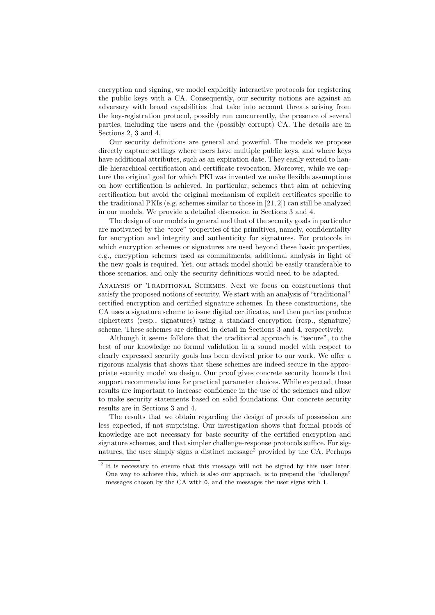encryption and signing, we model explicitly interactive protocols for registering the public keys with a CA. Consequently, our security notions are against an adversary with broad capabilities that take into account threats arising from the key-registration protocol, possibly run concurrently, the presence of several parties, including the users and the (possibly corrupt) CA. The details are in Sections 2, 3 and 4.

Our security definitions are general and powerful. The models we propose directly capture settings where users have multiple public keys, and where keys have additional attributes, such as an expiration date. They easily extend to handle hierarchical certification and certificate revocation. Moreover, while we capture the original goal for which PKI was invented we make flexible assumptions on how certification is achieved. In particular, schemes that aim at achieving certification but avoid the original mechanism of explicit certificates specific to the traditional PKIs (e.g. schemes similar to those in [21, 2]) can still be analyzed in our models. We provide a detailed discussion in Sections 3 and 4.

The design of our models in general and that of the security goals in particular are motivated by the "core" properties of the primitives, namely, confidentiality for encryption and integrity and authenticity for signatures. For protocols in which encryption schemes or signatures are used beyond these basic properties, e.g., encryption schemes used as commitments, additional analysis in light of the new goals is required. Yet, our attack model should be easily transferable to those scenarios, and only the security definitions would need to be adapted.

Analysis of Traditional Schemes. Next we focus on constructions that satisfy the proposed notions of security. We start with an analysis of "traditional" certified encryption and certified signature schemes. In these constructions, the CA uses a signature scheme to issue digital certificates, and then parties produce ciphertexts (resp., signatures) using a standard encryption (resp., signature) scheme. These schemes are defined in detail in Sections 3 and 4, respectively.

Although it seems folklore that the traditional approach is "secure", to the best of our knowledge no formal validation in a sound model with respect to clearly expressed security goals has been devised prior to our work. We offer a rigorous analysis that shows that these schemes are indeed secure in the appropriate security model we design. Our proof gives concrete security bounds that support recommendations for practical parameter choices. While expected, these results are important to increase confidence in the use of the schemes and allow to make security statements based on solid foundations. Our concrete security results are in Sections 3 and 4.

The results that we obtain regarding the design of proofs of possession are less expected, if not surprising. Our investigation shows that formal proofs of knowledge are not necessary for basic security of the certified encryption and signature schemes, and that simpler challenge-response protocols suffice. For signatures, the user simply signs a distinct message<sup>2</sup> provided by the CA. Perhaps

<sup>&</sup>lt;sup>2</sup> It is necessary to ensure that this message will not be signed by this user later. One way to achieve this, which is also our approach, is to prepend the "challenge" messages chosen by the CA with 0, and the messages the user signs with 1.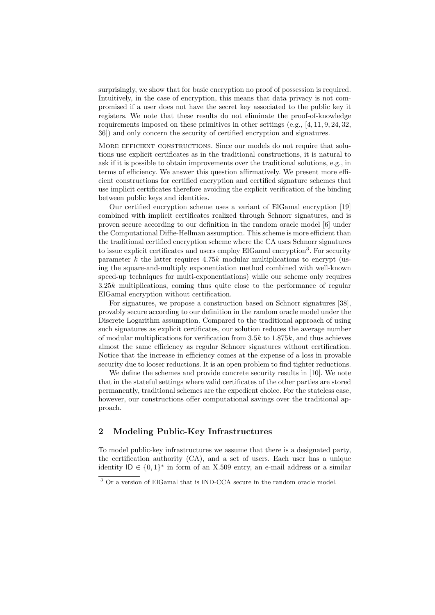surprisingly, we show that for basic encryption no proof of possession is required. Intuitively, in the case of encryption, this means that data privacy is not compromised if a user does not have the secret key associated to the public key it registers. We note that these results do not eliminate the proof-of-knowledge requirements imposed on these primitives in other settings (e.g.,  $[4, 11, 9, 24, 32,$ 36]) and only concern the security of certified encryption and signatures.

MORE EFFICIENT CONSTRUCTIONS. Since our models do not require that solutions use explicit certificates as in the traditional constructions, it is natural to ask if it is possible to obtain improvements over the traditional solutions, e.g., in terms of efficiency. We answer this question affirmatively. We present more efficient constructions for certified encryption and certified signature schemes that use implicit certificates therefore avoiding the explicit verification of the binding between public keys and identities.

Our certified encryption scheme uses a variant of ElGamal encryption [19] combined with implicit certificates realized through Schnorr signatures, and is proven secure according to our definition in the random oracle model [6] under the Computational Diffie-Hellman assumption. This scheme is more efficient than the traditional certified encryption scheme where the CA uses Schnorr signatures to issue explicit certificates and users employ ElGamal encryption<sup>3</sup>. For security parameter k the latter requires  $4.75k$  modular multiplications to encrypt (using the square-and-multiply exponentiation method combined with well-known speed-up techniques for multi-exponentiations) while our scheme only requires 3.25k multiplications, coming thus quite close to the performance of regular ElGamal encryption without certification.

For signatures, we propose a construction based on Schnorr signatures [38], provably secure according to our definition in the random oracle model under the Discrete Logarithm assumption. Compared to the traditional approach of using such signatures as explicit certificates, our solution reduces the average number of modular multiplications for verification from  $3.5k$  to  $1.875k$ , and thus achieves almost the same efficiency as regular Schnorr signatures without certification. Notice that the increase in efficiency comes at the expense of a loss in provable security due to looser reductions. It is an open problem to find tighter reductions.

We define the schemes and provide concrete security results in [10]. We note that in the stateful settings where valid certificates of the other parties are stored permanently, traditional schemes are the expedient choice. For the stateless case, however, our constructions offer computational savings over the traditional approach.

# 2 Modeling Public-Key Infrastructures

To model public-key infrastructures we assume that there is a designated party, the certification authority (CA), and a set of users. Each user has a unique identity  $ID \in \{0,1\}^*$  in form of an X.509 entry, an e-mail address or a similar

 $\frac{3}{3}$  Or a version of ElGamal that is IND-CCA secure in the random oracle model.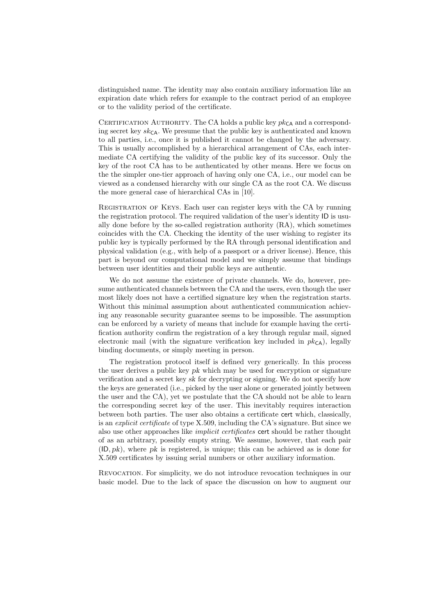distinguished name. The identity may also contain auxiliary information like an expiration date which refers for example to the contract period of an employee or to the validity period of the certificate.

CERTIFICATION AUTHORITY. The CA holds a public key  $pk_{CA}$  and a corresponding secret key  $sk_{\text{CA}}$ . We presume that the public key is authenticated and known to all parties, i.e., once it is published it cannot be changed by the adversary. This is usually accomplished by a hierarchical arrangement of CAs, each intermediate CA certifying the validity of the public key of its successor. Only the key of the root CA has to be authenticated by other means. Here we focus on the the simpler one-tier approach of having only one CA, i.e., our model can be viewed as a condensed hierarchy with our single CA as the root CA. We discuss the more general case of hierarchical CAs in [10].

Registration of Keys. Each user can register keys with the CA by running the registration protocol. The required validation of the user's identity ID is usually done before by the so-called registration authority (RA), which sometimes coincides with the CA. Checking the identity of the user wishing to register its public key is typically performed by the RA through personal identification and physical validation (e.g., with help of a passport or a driver license). Hence, this part is beyond our computational model and we simply assume that bindings between user identities and their public keys are authentic.

We do not assume the existence of private channels. We do, however, presume authenticated channels between the CA and the users, even though the user most likely does not have a certified signature key when the registration starts. Without this minimal assumption about authenticated communication achieving any reasonable security guarantee seems to be impossible. The assumption can be enforced by a variety of means that include for example having the certification authority confirm the registration of a key through regular mail, signed electronic mail (with the signature verification key included in  $pk_{\text{CA}}$ ), legally binding documents, or simply meeting in person.

The registration protocol itself is defined very generically. In this process the user derives a public key pk which may be used for encryption or signature verification and a secret key sk for decrypting or signing. We do not specify how the keys are generated (i.e., picked by the user alone or generated jointly between the user and the CA), yet we postulate that the CA should not be able to learn the corresponding secret key of the user. This inevitably requires interaction between both parties. The user also obtains a certificate cert which, classically, is an explicit certificate of type X.509, including the CA's signature. But since we also use other approaches like implicit certificates cert should be rather thought of as an arbitrary, possibly empty string. We assume, however, that each pair  $(1D, pk)$ , where pk is registered, is unique; this can be achieved as is done for X.509 certificates by issuing serial numbers or other auxiliary information.

Revocation. For simplicity, we do not introduce revocation techniques in our basic model. Due to the lack of space the discussion on how to augment our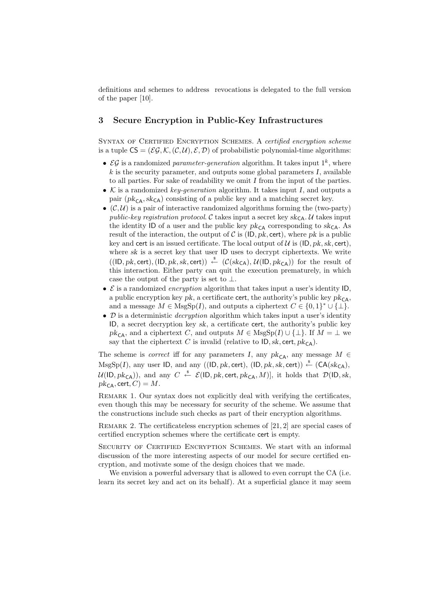definitions and schemes to address revocations is delegated to the full version of the paper [10].

# 3 Secure Encryption in Public-Key Infrastructures

SYNTAX OF CERTIFIED ENCRYPTION SCHEMES. A certified encryption scheme is a tuple  $CS = (\mathcal{EG}, \mathcal{K}, (\mathcal{C}, \mathcal{U}), \mathcal{E}, \mathcal{D})$  of probabilistic polynomial-time algorithms:

- EG is a randomized parameter-generation algorithm. It takes input  $1^k$ , where  $k$  is the security parameter, and outputs some global parameters  $I$ , available to all parties. For sake of readability we omit I from the input of the parties.
- $K$  is a randomized key-generation algorithm. It takes input I, and outputs a pair  $(pk_{CA}, sk_{CA})$  consisting of a public key and a matching secret key.
- $(C, U)$  is a pair of interactive randomized algorithms forming the (two-party) public-key registration protocol. C takes input a secret key  $sk_{CA}$ . U takes input the identity ID of a user and the public key  $pk_{CA}$  corresponding to  $sk_{CA}$ . As result of the interaction, the output of  $C$  is (ID,  $pk$ , cert), where  $pk$  is a public key and cert is an issued certificate. The local output of  $U$  is (ID, pk, sk, cert), where sk is a secret key that user ID uses to decrypt ciphertexts. We write  $((ID, pk, cert), (ID, pk, sk, cert)) \xleftarrow{\$} (\mathcal{C}(sk_{CA}), \mathcal{U}(ID, pk_{CA}))$  for the result of this interaction. Either party can quit the execution prematurely, in which case the output of the party is set to  $\bot$ .
- $\mathcal E$  is a randomized *encryption* algorithm that takes input a user's identity ID, a public encryption key pk, a certificate cert, the authority's public key  $pk_{CA}$ , and a message  $M \in \text{MsgSp}(I)$ , and outputs a ciphertext  $C \in \{0,1\}^* \cup \{\perp\}.$
- $\mathcal D$  is a deterministic *decryption* algorithm which takes input a user's identity ID, a secret decryption key sk, a certificate cert, the authority's public key  $pk_{CA}$ , and a ciphertext C, and outputs  $M \in \text{MsgSp}(I) \cup \{\perp\}$ . If  $M = \perp$  we say that the ciphertext C is invalid (relative to  $ID, sk, cert, pk_{CA}$ ).

The scheme is *correct* iff for any parameters I, any  $pk_{CA}$ , any message  $M \in$  $\text{MsgSp}(I)$ , any user ID, and any  $((ID, pk, cert), (ID, pk, sk, cert)) \overset{\$} \leftarrow (CA(sk_{CA}),$  $\mathcal{U}(\mathsf{ID}, \mathrm{pk}_\mathsf{CA}) ), \text{ and any } C \stackrel{\hspace{0.1em}\mathsf{\scriptscriptstyle\$}}{\leftarrow} \mathcal{E}(\mathsf{ID}, \mathrm{pk}, \mathsf{cert}, \mathrm{pk}_\mathsf{CA}, M)], \text{ it holds that } \mathcal{D}(\mathsf{ID}, \mathrm{sk}, \mathsf{Cat}) \subset \mathsf{Cat}(\mathsf{ID}, \mathsf{pk}_\mathsf{CA}, M).$  $pk_{CA}$ , cert,  $C$ ) = M.

REMARK 1. Our syntax does not explicitly deal with verifying the certificates, even though this may be necessary for security of the scheme. We assume that the constructions include such checks as part of their encryption algorithms.

REMARK 2. The certificateless encryption schemes of [21, 2] are special cases of certified encryption schemes where the certificate cert is empty.

SECURITY OF CERTIFIED ENCRYPTION SCHEMES. We start with an informal discussion of the more interesting aspects of our model for secure certified encryption, and motivate some of the design choices that we made.

We envision a powerful adversary that is allowed to even corrupt the CA (i.e. learn its secret key and act on its behalf). At a superficial glance it may seem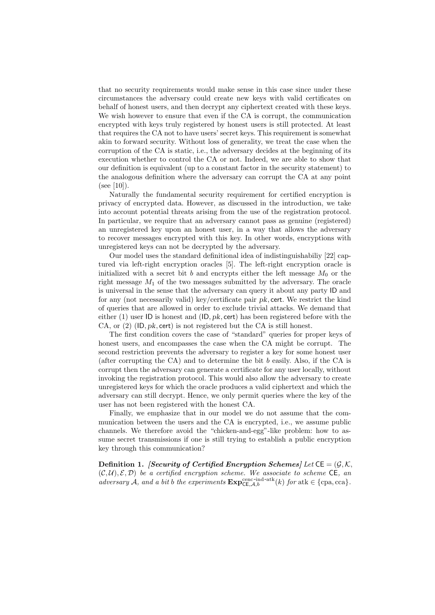that no security requirements would make sense in this case since under these circumstances the adversary could create new keys with valid certificates on behalf of honest users, and then decrypt any ciphertext created with these keys. We wish however to ensure that even if the CA is corrupt, the communication encrypted with keys truly registered by honest users is still protected. At least that requires the CA not to have users' secret keys. This requirement is somewhat akin to forward security. Without loss of generality, we treat the case when the corruption of the CA is static, i.e., the adversary decides at the beginning of its execution whether to control the CA or not. Indeed, we are able to show that our definition is equivalent (up to a constant factor in the security statement) to the analogous definition where the adversary can corrupt the CA at any point  $(see [10]).$ 

Naturally the fundamental security requirement for certified encryption is privacy of encrypted data. However, as discussed in the introduction, we take into account potential threats arising from the use of the registration protocol. In particular, we require that an adversary cannot pass as genuine (registered) an unregistered key upon an honest user, in a way that allows the adversary to recover messages encrypted with this key. In other words, encryptions with unregistered keys can not be decrypted by the adversary.

Our model uses the standard definitional idea of indistinguishabiliy [22] captured via left-right encryption oracles [5]. The left-right encryption oracle is initialized with a secret bit b and encrypts either the left message  $M_0$  or the right message  $M_1$  of the two messages submitted by the adversary. The oracle is universal in the sense that the adversary can query it about any party ID and for any (not necessarily valid) key/certificate pair pk, cert. We restrict the kind of queries that are allowed in order to exclude trivial attacks. We demand that either (1) user ID is honest and  $(ID, pk, cert)$  has been registered before with the CA, or  $(2)$  (ID,  $pk$ , cert) is not registered but the CA is still honest.

The first condition covers the case of "standard" queries for proper keys of honest users, and encompasses the case when the CA might be corrupt. The second restriction prevents the adversary to register a key for some honest user (after corrupting the CA) and to determine the bit b easily. Also, if the CA is corrupt then the adversary can generate a certificate for any user locally, without invoking the registration protocol. This would also allow the adversary to create unregistered keys for which the oracle produces a valid ciphertext and which the adversary can still decrypt. Hence, we only permit queries where the key of the user has not been registered with the honest CA.

Finally, we emphasize that in our model we do not assume that the communication between the users and the CA is encrypted, i.e., we assume public channels. We therefore avoid the "chicken-and-egg"-like problem: how to assume secret transmissions if one is still trying to establish a public encryption key through this communication?

Definition 1. *[Security of Certified Encryption Schemes]* Let  $CE = (G, K,$  $(C, U), \mathcal{E}, \mathcal{D}$ ) be a certified encryption scheme. We associate to scheme CE, an adversary A, and a bit b the experiments  $\text{Exp}_{\text{CE},\mathcal{A},b}^{\text{cenc-ind-atk}}(k)$  for atk  $\in \{\text{cpa},\text{cca}\}.$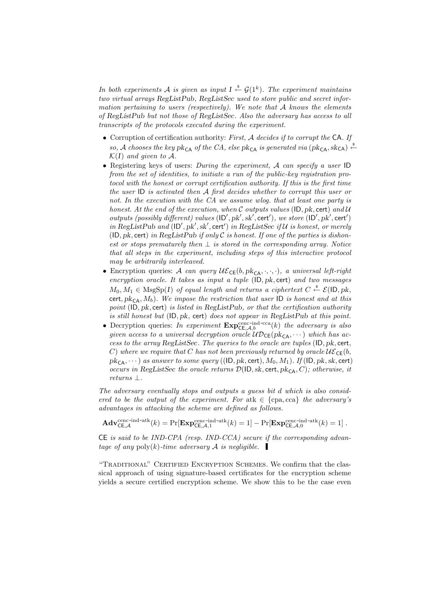In both experiments A is given as input  $I \stackrel{\$}{\leftarrow} \mathcal{G}(1^k)$ . The experiment maintains two virtual arrays RegListPub, RegListSec used to store public and secret information pertaining to users (respectively). We note that A knows the elements of RegListPub but not those of RegListSec. Also the adversary has access to all transcripts of the protocols executed during the experiment.

- Corruption of certification authority: First,  $A$  decides if to corrupt the CA. If so, A chooses the key pk<sub>CA</sub> of the CA, else pk<sub>CA</sub> is generated via (pk<sub>CA</sub>, sk<sub>CA</sub>)  $\xleftarrow{\$}$  $\mathcal{K}(I)$  and given to A.
- Registering keys of users: During the experiment,  $\mathcal A$  can specify a user ID from the set of identities, to initiate a run of the public-key registration protocol with the honest or corrupt certification authority. If this is the first time the user ID is activated then A first decides whether to corrupt this user or not. In the execution with the CA we assume wlog. that at least one party is honest. At the end of the execution, when  $\mathcal C$  outputs values (ID, pk, cert) and  $\mathcal U$ outputs (possibly different) values  $\overline{(ID', pk', sk', cert')}$ , we store  $\overline{(ID', pk', cert')}$ in RegListPub and  $(ID', pk', sk', cert')$  in RegListSec if U is honest, or merely (ID, pk, cert) in RegListPub if only  $\mathcal C$  is honest. If one of the parties is dishonest or stops prematurely then  $\perp$  is stored in the corresponding array. Notice that all steps in the experiment, including steps of this interactive protocol may be arbitrarily interleaved.
- Encryption queries: A can query  $\mathcal{UE}_{\mathsf{CE}}(b, pk_{\mathsf{CA}}, \cdot, \cdot)$ , a universal left-right encryption oracle. It takes as input a tuple (ID, pk, cert) and two messages  $M_0, M_1 \in \text{MsgSp}(I)$  of equal length and returns a ciphertext  $C \stackrel{\$}{\leftarrow} \mathcal{E}(I\mathsf{D}, p\mathsf{k}, \mathsf{d})$ cert,  $pk_{CA}$ ,  $M_b$ ). We impose the restriction that user ID is honest and at this point (ID, pk, cert) is listed in RegListPub, or that the certification authority is still honest but (ID, pk, cert) does not appear in RegListPub at this point.
- Decryption queries: In experiment  $\mathbf{Exp}_{\mathsf{CE},\mathcal{A},b}^{\text{cenc-ind-cca}}(k)$  the adversary is also given access to a universal decryption oracle  $\mathcal{UD}_{\mathsf{CE}}(pk_{\mathsf{CA}}, \dots)$  which has access to the array RegListSec. The queries to the oracle are tuples (ID, pk, cert, C) where we require that C has not been previously returned by oracle  $\mathcal{UE}_{\mathsf{CE}}(b)$ ,  $pk_{CA}, \dots$ ) as answer to some query ((ID, pk, cert),  $M_0, M_1$ ). If (ID, pk, sk, cert) occurs in RegListSec the oracle returns  $\mathcal{D}(\mathsf{ID}, \mathsf{sk}, \mathsf{cert}, \mathsf{pk}_{\mathsf{CA}}, C)$ ; otherwise, it returns ⊥.

The adversary eventually stops and outputs a guess bit d which is also considered to be the output of the experiment. For atk  $\in \{cpa, cca\}$  the adversary's advantages in attacking the scheme are defined as follows.

 $\mathbf{Adv}_{\mathsf{CE},\mathcal{A}}^{\text{cenc-ind-atk}}(k) = \Pr[\mathbf{Exp}_{\mathsf{CE},\mathcal{A},1}^{\text{cenc-ind-atk}}(k) = 1] - \Pr[\mathbf{Exp}_{\mathsf{CE},\mathcal{A},0}^{\text{cenc-ind-atk}}(k) = 1]$ .

CE is said to be IND-CPA (resp. IND-CCA) secure if the corresponding advantage of any  $\text{poly}(k)$ -time adversary A is negligible.

"TRADITIONAL" CERTIFIED ENCRYPTION SCHEMES. We confirm that the classical approach of using signature-based certificates for the encryption scheme yields a secure certified encryption scheme. We show this to be the case even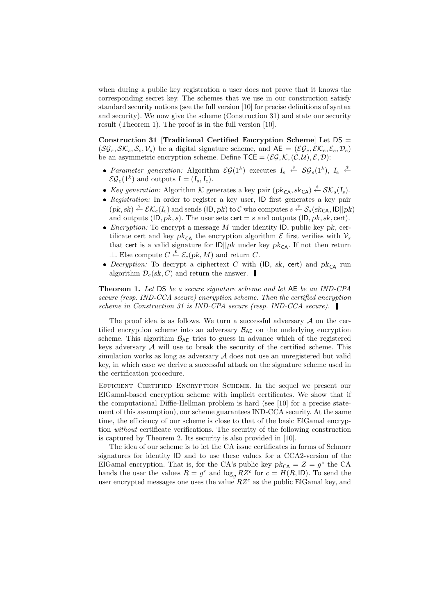when during a public key registration a user does not prove that it knows the corresponding secret key. The schemes that we use in our construction satisfy standard security notions (see the full version [10] for precise definitions of syntax and security). We now give the scheme (Construction 31) and state our security result (Theorem 1). The proof is in the full version [10].

Construction 31 [Traditional Certified Encryption Scheme] Let  $DS =$  $(\mathcal{SG}_s, \mathcal{SK}_s, \mathcal{S}_s, \mathcal{V}_s)$  be a digital signature scheme, and  $AE = (\mathcal{EG}_e, \mathcal{EK}_e, \mathcal{E}_e, \mathcal{D}_e)$ be an asymmetric encryption scheme. Define  $\mathsf{TCE} = (\mathcal{EG}, \mathcal{K}, (\mathcal{C}, \mathcal{U}), \mathcal{E}, \mathcal{D})$ :

- Parameter generation: Algorithm  $\mathcal{EG}(1^k)$  executes  $I_s \stackrel{\hspace{0.1em}\mathsf{\scriptscriptstyle\$}}{\leftarrow} \mathcal{SG}_s(1^k)$ ,  $I_e \stackrel{\hspace{0.1em}\mathsf{\scriptscriptstyle\$}}{\leftarrow}$  $\mathcal{EG}_e(1^k)$  and outputs  $I = (I_s, I_e)$ .
- Key generation: Algorithm K generates a key pair  $(pk_{CA}, sk_{CA}) \stackrel{\$}{\leftarrow} \mathcal{SK}_s(I_s)$ .
- Registration: In order to register a key user, ID first generates a key pair  $(pk, sk) \stackrel{\$}{\leftarrow} \mathcal{EK}_e(I_e)$  and sends  $(ID, pk)$  to C who computes  $s \stackrel{\$}{\leftarrow} S_s(sk_{CA}, ID||pk)$ and outputs (ID,  $pk, s$ ). The user sets cert = s and outputs (ID,  $pk, sk$ , cert).
- *Encryption:* To encrypt a message  $M$  under identity  $|D|$ , public key  $pk$ , certificate cert and key  $pk_{CA}$  the encryption algorithm  $\mathcal E$  first verifies with  $\mathcal V_s$ that cert is a valid signature for  $|D||pk$  under key  $pk_{CA}$ . If not then return ⊥. Else compute  $C \stackrel{\text{s}}{\leftarrow} \mathcal{E}_e(pk, M)$  and return C.
- Decryption: To decrypt a ciphertext C with (ID, sk, cert) and  $pk_{CA}$  run algorithm  $\mathcal{D}_e(\mathit{sk}, C)$  and return the answer.

Theorem 1. Let DS be a secure signature scheme and let AE be an IND-CPA secure (resp. IND-CCA secure) encryption scheme. Then the certified encryption scheme in Construction 31 is IND-CPA secure (resp. IND-CCA secure).

The proof idea is as follows. We turn a successful adversary  $A$  on the certified encryption scheme into an adversary  $\mathcal{B}_{AE}$  on the underlying encryption scheme. This algorithm  $\mathcal{B}_{AE}$  tries to guess in advance which of the registered keys adversary  $A$  will use to break the security of the certified scheme. This simulation works as long as adversary  $A$  does not use an unregistered but valid key, in which case we derive a successful attack on the signature scheme used in the certification procedure.

EFFICIENT CERTIFIED ENCRYPTION SCHEME. In the sequel we present our ElGamal-based encryption scheme with implicit certificates. We show that if the computational Diffie-Hellman problem is hard (see [10] for a precise statement of this assumption), our scheme guarantees IND-CCA security. At the same time, the efficiency of our scheme is close to that of the basic ElGamal encryption without certificate verifications. The security of the following construction is captured by Theorem 2. Its security is also provided in [10].

The idea of our scheme is to let the CA issue certificates in forms of Schnorr signatures for identity ID and to use these values for a CCA2-version of the ElGamal encryption. That is, for the CA's public key  $pk_{CA} = Z = g^z$  the CA hands the user the values  $R = g^r$  and  $\log_g RZ^c$  for  $c = H(R, \mathsf{ID})$ . To send the user encrypted messages one uses the value  $RZ<sup>c</sup>$  as the public ElGamal key, and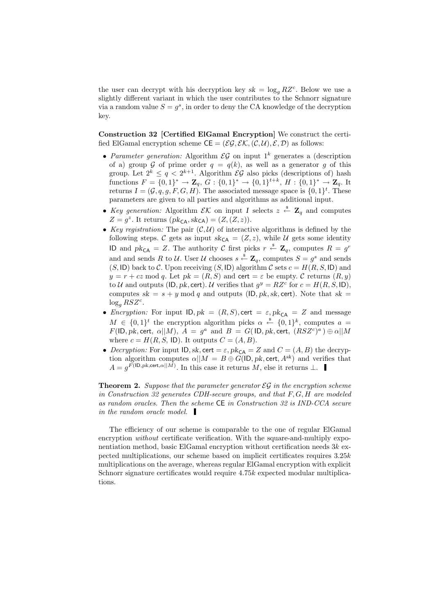the user can decrypt with his decryption key  $sk = \log_g RZ^c$ . Below we use a slightly different variant in which the user contributes to the Schnorr signature via a random value  $S = g^s$ , in order to deny the CA knowledge of the decryption key.

Construction 32 [Certified ElGamal Encryption] We construct the certified ElGamal encryption scheme  $CE = (\mathcal{EG}, \mathcal{EK}, (\mathcal{C}, \mathcal{U}), \mathcal{E}, \mathcal{D})$  as follows:

- Parameter generation: Algorithm  $\mathcal{EG}$  on input  $1^k$  generates a (description of a) group G of prime order  $q = q(k)$ , as well as a generator g of this group. Let  $2^k \le q < 2^{k+1}$ . Algorithm  $\mathcal{EG}$  also picks (descriptions of) hash functions  $F = \{0,1\}^* \to \mathbb{Z}_q$ ,  $G : \{0,1\}^* \to \{0,1\}^{t+k}$ ,  $H : \{0,1\}^* \to \mathbb{Z}_q$ . It returns  $I = (\mathcal{G}, q, g, F, G, H)$ . The associated message space is  $\{0, 1\}^t$ . These parameters are given to all parties and algorithms as additional input.
- Key generation: Algorithm  $\mathcal{EK}$  on input I selects  $z \stackrel{\hspace{0.1em}\mathsf{\scriptscriptstyle\$}}{\leftarrow} \mathbf{Z}_q$  and computes  $Z = g^z$ . It returns  $(pk_{CA}, sk_{CA}) = (Z, (Z, z)).$
- Key registration: The pair  $(C, U)$  of interactive algorithms is defined by the following steps. C gets as input  $sk_{CA} = (Z, z)$ , while U gets some identity ID and  $pk_{CA} = Z$ . The authority C first picks  $r \stackrel{\$}{\leftarrow} \mathbf{Z}_q$ , computes  $R = g^r$ and and sends R to U. User U chooses  $s \stackrel{s}{\leftarrow} \mathbf{Z}_q$ , computes  $S = g^s$  and sends  $(S, \mathsf{ID})$  back to C. Upon receiving  $(S, \mathsf{ID})$  algorithm C sets  $c = H(R, S, \mathsf{ID})$  and  $y = r + cz \mod q$ . Let  $pk = (R, S)$  and cert  $= \varepsilon$  be empty. C returns  $(R, y)$ to U and outputs (ID, pk, cert). U verifies that  $g^y = RZ^c$  for  $c = H(R, S, \mathsf{ID})$ , computes  $sk = s + y \mod q$  and outputs (ID, pk, sk, cert). Note that  $sk =$  $\log_g RSZ^c$ .
- Encryption: For input ID,  $pk = (R, S)$ , cert =  $\varepsilon$ ,  $pk_{CA} = Z$  and message  $M \in \{0,1\}^t$  the encryption algorithm picks  $\alpha \stackrel{\hspace{0.1em}\mathsf{\scriptscriptstyle\$}}{\leftarrow} \{0,1\}^k$ , computes  $a =$  $F(\mathsf{ID}, p\mathsf{k}, \mathsf{cert}, \alpha \vert | M), A = g^a \text{ and } B = G(\mathsf{ID}, p\mathsf{k}, \mathsf{cert}, (RSZ^c)^a) \oplus \alpha \vert | M$ where  $c = H(R, S, \mathsf{ID})$ . It outputs  $C = (A, B)$ .
- Decryption: For input ID, sk, cert =  $\varepsilon$ ,  $pk_{CA} = Z$  and  $C = (A, B)$  the decryption algorithm computes  $\alpha||M = B \oplus G(D, pk, cert, A^{sk})$  and verifies that  $A = g^{F(\text{ID},pk, \text{cert}, \alpha||M)}$ . In this case it returns M, else it returns  $\perp$ .

**Theorem 2.** Suppose that the parameter generator  $\mathcal{EG}$  in the encryption scheme in Construction 32 generates CDH-secure groups, and that  $F, G, H$  are modeled as random oracles. Then the scheme CE in Construction 32 is IND-CCA secure in the random oracle model.

The efficiency of our scheme is comparable to the one of regular ElGamal encryption *without* certificate verification. With the square-and-multiply exponentiation method, basic ElGamal encryption without certification needs 3k expected multiplications, our scheme based on implicit certificates requires  $3.25k$ multiplications on the average, whereas regular ElGamal encryption with explicit Schnorr signature certificates would require 4.75k expected modular multiplications.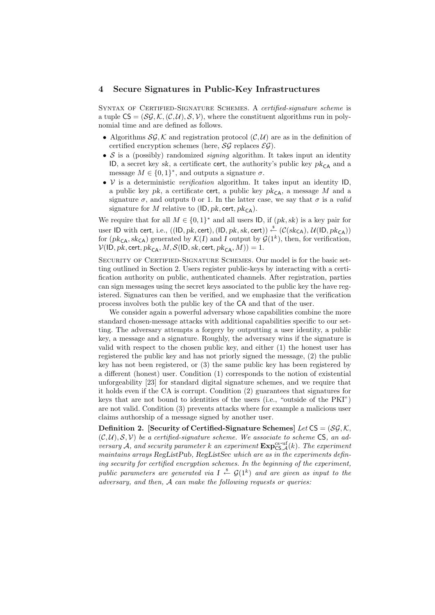## 4 Secure Signatures in Public-Key Infrastructures

SYNTAX OF CERTIFIED-SIGNATURE SCHEMES. A certified-signature scheme is a tuple  $CS = (SG, K, (C, U), S, V)$ , where the constituent algorithms run in polynomial time and are defined as follows.

- Algorithms  $\mathcal{SG}, \mathcal{K}$  and registration protocol  $(\mathcal{C}, \mathcal{U})$  are as in the definition of certified encryption schemes (here,  $\mathcal{SG}$  replaces  $\mathcal{EG}$ ).
- $S$  is a (possibly) randomized *signing* algorithm. It takes input an identity ID, a secret key sk, a certificate cert, the authority's public key  $pk_{CA}$  and a message  $M \in \{0,1\}^*$ , and outputs a signature  $\sigma$ .
- $V$  is a deterministic *verification* algorithm. It takes input an identity ID, a public key pk, a certificate cert, a public key  $pk_{CA}$ , a message M and a signature  $\sigma$ , and outputs 0 or 1. In the latter case, we say that  $\sigma$  is a valid signature for M relative to  $(ID, pk, cert, pk_{CA}).$

We require that for all  $M \in \{0,1\}^*$  and all users ID, if  $(pk, sk)$  is a key pair for user ID with cert, i.e.,  $((ID, pk, cert), (ID, pk, sk, cert)) \xleftarrow{\$} (\mathcal{C}(sk_{CA}), \mathcal{U}(ID, pk_{CA}))$ for  $(pk_{CA}, sk_{CA})$  generated by  $\mathcal{K}(I)$  and I output by  $\mathcal{G}(1^k)$ , then, for verification,  $\mathcal{V}(\mathsf{ID}, \allowbreak pk, \allowbreak \mathsf{cert}, \allowbreak pk_{\mathsf{CA}}, \allowbreak M, \mathcal{S}(\mathsf{ID}, \allowbreak sk, \allowbreak \mathsf{cert}, \allowbreak pk_{\mathsf{CA}}, \allowbreak M)) = 1.$ 

SECURITY OF CERTIFIED-SIGNATURE SCHEMES. Our model is for the basic setting outlined in Section 2. Users register public-keys by interacting with a certification authority on public, authenticated channels. After registration, parties can sign messages using the secret keys associated to the public key the have registered. Signatures can then be verified, and we emphasize that the verification process involves both the public key of the CA and that of the user.

We consider again a powerful adversary whose capabilities combine the more standard chosen-message attacks with additional capabilities specific to our setting. The adversary attempts a forgery by outputting a user identity, a public key, a message and a signature. Roughly, the adversary wins if the signature is valid with respect to the chosen public key, and either (1) the honest user has registered the public key and has not priorly signed the message, (2) the public key has not been registered, or (3) the same public key has been registered by a different (honest) user. Condition (1) corresponds to the notion of existential unforgeability [23] for standard digital signature schemes, and we require that it holds even if the CA is corrupt. Condition (2) guarantees that signatures for keys that are not bound to identities of the users (i.e., "outside of the PKI") are not valid. Condition (3) prevents attacks where for example a malicious user claims authorship of a message signed by another user.

Definition 2. [Security of Certified-Signature Schemes] Let  $CS = (SG, \mathcal{K}, \mathcal{L})$  $(C, U), S, V$ ) be a certified-signature scheme. We associate to scheme CS, an adversary A, and security parameter k an experiment  $\text{Exp}_{\mathsf{CS},\mathcal{A}}^{\text{cs-uf}}(k)$ . The experiment maintains arrays RegListPub, RegListSec which are as in the experiments defining security for certified encryption schemes. In the beginning of the experiment, public parameters are generated via  $I \stackrel{\$}{\leftarrow} \mathcal{G}(1^k)$  and are given as input to the adversary, and then, A can make the following requests or queries: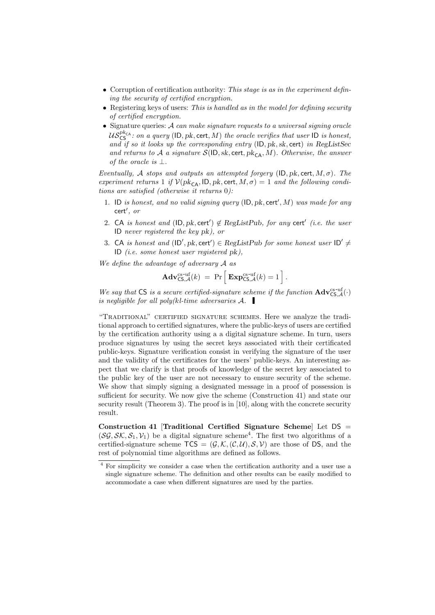- Corruption of certification authority: This stage is as in the experiment defining the security of certified encryption.
- Registering keys of users: This is handled as in the model for defining security of certified encryption.
- Signature queries: A can make signature requests to a universal signing oracle  $\mathcal{US}^{pk}_{\mathsf{CS}}$  : on a query (ID, pk,  $\mathsf{cert}, M)$  the oracle verifies that user ID is honest, and if so it looks up the corresponding entry (ID, pk,sk, cert) in RegListSec and returns to A a signature  $S(\mathsf{ID}, \mathsf{sk}, \mathsf{cert}, \mathsf{pk}_{\mathsf{CA}}, M)$ . Otherwise, the answer of the oracle is  $\perp$ .

Eventually, A stops and outputs an attempted forgery (ID, pk, cert,  $M, \sigma$ ). The experiment returns 1 if  $V$ (pk<sub>CA</sub>, ID, pk, cert,  $M, \sigma$ ) = 1 and the following conditions are satisfied (otherwise it returns 0):

- 1. ID is honest, and no valid signing query  $(\mathsf{ID}, \mathrm{pk}, \mathsf{cert}', M)$  was made for any  $cert', or$
- 2. CA is honest and  $(ID, pk, cert') \notin RegListPub, for any cert' (i.e. the user)$ ID never registered the key pk), or
- 3. CA is honest and  $\mathsf{ID}', pk, \mathsf{cert}'$   $\in \text{RegListPub}$  for some honest user  $\mathsf{ID}' \neq$ ID (i.e. some honest user registered pk),

We define the advantage of adversary A as

$$
\mathbf{Adv}_{\mathsf{CS},\mathcal{A}}^{\mathrm{cs-uf}}(k) = \Pr\left[\ \mathbf{Exp}_{\mathsf{CS},\mathcal{A}}^{\mathrm{cs-uf}}(k) = 1 \right].
$$

We say that CS is a secure certified-signature scheme if the function  $\mathbf{Adv}^{\text{cs-uf}}_{\text{CS},\mathcal{A}}(\cdot)$ is negligible for all poly(kl-time adversaries  $\mathcal{A}$ .

"TRADITIONAL" CERTIFIED SIGNATURE SCHEMES. Here we analyze the traditional approach to certified signatures, where the public-keys of users are certified by the certification authority using a a digital signature scheme. In turn, users produce signatures by using the secret keys associated with their certificated public-keys. Signature verification consist in verifying the signature of the user and the validity of the certificates for the users' public-keys. An interesting aspect that we clarify is that proofs of knowledge of the secret key associated to the public key of the user are not necessary to ensure security of the scheme. We show that simply signing a designated message in a proof of possession is sufficient for security. We now give the scheme (Construction 41) and state our security result (Theorem 3). The proof is in [10], along with the concrete security result.

Construction 41 [Traditional Certified Signature Scheme] Let  $DS =$  $(SG, \mathcal{SK}, \mathcal{S}_1, \mathcal{V}_1)$  be a digital signature scheme<sup>4</sup>. The first two algorithms of a certified-signature scheme  $TCS = (G, \mathcal{K}, (C, \mathcal{U}), S, \mathcal{V})$  are those of DS, and the rest of polynomial time algorithms are defined as follows.

<sup>4</sup> For simplicity we consider a case when the certification authority and a user use a single signature scheme. The definition and other results can be easily modified to accommodate a case when different signatures are used by the parties.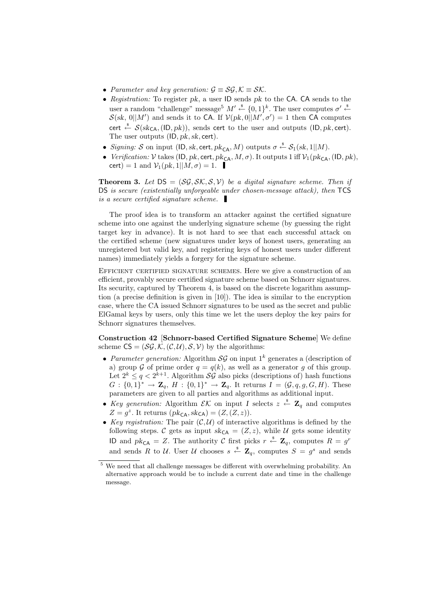- Parameter and key generation:  $\mathcal{G} \equiv \mathcal{SG}, \mathcal{K} \equiv \mathcal{SK}.$
- Registration: To register pk, a user ID sends pk to the CA. CA sends to the user a random "challenge" message<sup>5</sup>  $M' \stackrel{\$}{\leftarrow} \{0,1\}^k$ . The user computes  $\sigma' \stackrel{\$}{\leftarrow}$  $\mathcal{S}(sk, 0||M')$  and sends it to CA. If  $\mathcal{V}(pk, 0||M', \sigma') = 1$  then CA computes cert  $\stackrel{\text{s}}{\leftarrow} S(\text{sk}_{CA}, (\text{ID}, \text{pk}))$ , sends cert to the user and outputs (ID, pk, cert). The user outputs  $(ID, pk, sk, cert)$ .
- Signing: S on input (ID, sk, cert,  $pk_{CA}$ , M) outputs  $\sigma \stackrel{\text{*}}{\leftarrow} S_1(\text{sk}, 1||M)$ .
- Verification: V takes (ID, pk, cert,  $pk_{CA}$ ,  $M$ ,  $\sigma$ ). It outputs 1 iff  $\mathcal{V}_1(pk_{CA},(ID, pk))$ , cert) = 1 and  $V_1(pk, 1||M, \sigma) = 1$ .

**Theorem 3.** Let  $DS = (SG, SK, S, V)$  be a digital signature scheme. Then if DS is secure (existentially unforgeable under chosen-message attack), then TCS is a secure certified signature scheme.

The proof idea is to transform an attacker against the certified signature scheme into one against the underlying signature scheme (by guessing the right target key in advance). It is not hard to see that each successful attack on the certified scheme (new signatures under keys of honest users, generating an unregistered but valid key, and registering keys of honest users under different names) immediately yields a forgery for the signature scheme.

Efficient certified signature schemes. Here we give a construction of an efficient, provably secure certified signature scheme based on Schnorr signatures. Its security, captured by Theorem 4, is based on the discrete logarithm assumption (a precise definition is given in [10]). The idea is similar to the encryption case, where the CA issued Schnorr signatures to be used as the secret and public ElGamal keys by users, only this time we let the users deploy the key pairs for Schnorr signatures themselves.

Construction 42 [Schnorr-based Certified Signature Scheme] We define scheme  $CS = (SG, K, (C, U), S, V)$  by the algorithms:

- Parameter generation: Algorithm  $SG$  on input  $1^k$  generates a (description of a) group G of prime order  $q = q(k)$ , as well as a generator g of this group. Let  $2^k \le q < 2^{k+1}$ . Algorithm  $\mathcal{SG}$  also picks (descriptions of) hash functions  $G: \{0,1\}^* \to \mathbb{Z}_q$ ,  $H: \{0,1\}^* \to \mathbb{Z}_q$ . It returns  $I = (\mathcal{G},q,g,G,H)$ . These parameters are given to all parties and algorithms as additional input.
- Key generation: Algorithm  $\mathcal{EK}$  on input I selects  $z \stackrel{\hspace{0.1em}\mathsf{\scriptscriptstyle\$}}{\leftarrow} \mathbf{Z}_q$  and computes  $Z = g^z$ . It returns  $(pk_{CA}, sk_{CA}) = (Z, (Z, z)).$
- Key registration: The pair  $(C, U)$  of interactive algorithms is defined by the following steps. C gets as input  $sk_{CA} = (Z, z)$ , while U gets some identity ID and  $pk_{CA} = Z$ . The authority C first picks  $r \stackrel{\$}{\leftarrow} \mathbf{Z}_q$ , computes  $R = g^r$ and sends R to U. User U chooses  $s \stackrel{s}{\leftarrow} \mathbf{Z}_q$ , computes  $S = g^s$  and sends

<sup>5</sup> We need that all challenge messages be different with overwhelming probability. An alternative approach would be to include a current date and time in the challenge message.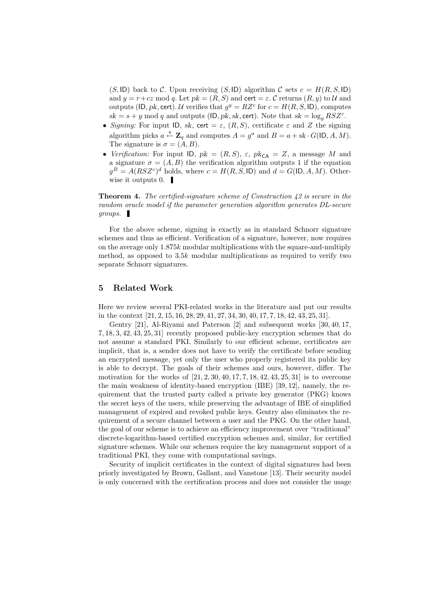$(S, \mathsf{ID})$  back to C. Upon receiving  $(S, \mathsf{ID})$  algorithm C sets  $c = H(R, S, \mathsf{ID})$ and  $y = r + cz \mod q$ . Let  $pk = (R, S)$  and cert  $= \varepsilon$ . C returns  $(R, y)$  to U and outputs (ID, pk, cert). U verifies that  $g^y = RZ^c$  for  $c = H(R, S, \mathsf{ID})$ , computes  $sk = s + y \mod q$  and outputs (ID, pk, sk, cert). Note that  $sk = \log_g RSZ^c$ .

- Signing: For input ID, sk, cert =  $\varepsilon$ ,  $(R, S)$ , certificate  $\varepsilon$  and Z the signing algorithm picks  $a \stackrel{\$}{\leftarrow} \mathbf{Z}_q$  and computes  $A = g^a$  and  $B = a + sk \cdot G(\mathsf{ID}, A, M)$ . The signature is  $\sigma = (A, B)$ .
- Verification: For input ID,  $pk = (R, S)$ ,  $\varepsilon$ ,  $pk_{CA} = Z$ , a message M and a signature  $\sigma = (A, B)$  the verification algorithm outputs 1 if the equation  $g^B = A(RSZ^c)^d$  holds, where  $c = H(R, S, \mathsf{ID})$  and  $d = G(\mathsf{ID}, A, M)$ . Otherwise it outputs 0.

**Theorem 4.** The certified-signature scheme of Construction  $42$  is secure in the random oracle model if the parameter generation algorithm generates DL-secure groups.

For the above scheme, signing is exactly as in standard Schnorr signature schemes and thus as efficient. Verification of a signature, however, now requires on the average only  $1.875k$  modular multiplications with the square-and-multiply method, as opposed to 3.5k modular multiplications as required to verify two separate Schnorr signatures.

# 5 Related Work

Here we review several PKI-related works in the literature and put our results in the context [21, 2, 15, 16, 28, 29, 41, 27, 34, 30, 40, 17, 7, 18, 42, 43, 25, 31].

Gentry [21], Al-Riyami and Paterson [2] and subsequent works [30, 40, 17, 7, 18, 3, 42, 43, 25, 31] recently proposed public-key encryption schemes that do not assume a standard PKI. Similarly to our efficient scheme, certificates are implicit, that is, a sender does not have to verify the certificate before sending an encrypted message, yet only the user who properly registered its public key is able to decrypt. The goals of their schemes and ours, however, differ. The motivation for the works of  $[21, 2, 30, 40, 17, 7, 18, 42, 43, 25, 31]$  is to overcome the main weakness of identity-based encryption (IBE) [39, 12], namely, the requirement that the trusted party called a private key generator (PKG) knows the secret keys of the users, while preserving the advantage of IBE of simplified management of expired and revoked public keys. Gentry also eliminates the requirement of a secure channel between a user and the PKG. On the other hand, the goal of our scheme is to achieve an efficiency improvement over "traditional" discrete-logarithm-based certified encryption schemes and, similar, for certified signature schemes. While our schemes require the key management support of a traditional PKI, they come with computational savings.

Security of implicit certificates in the context of digital signatures had been priorly investigated by Brown, Gallant, and Vanstone [13]. Their security model is only concerned with the certification process and does not consider the usage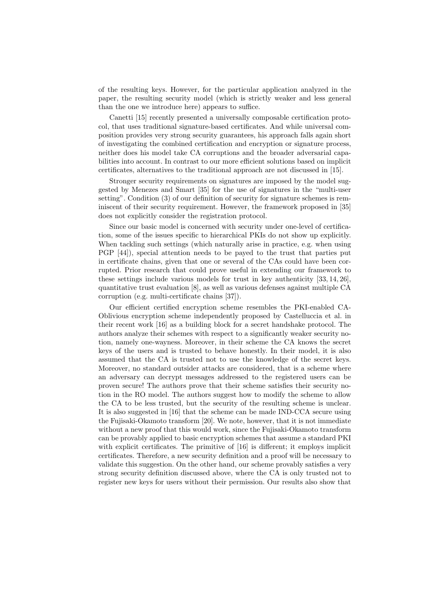of the resulting keys. However, for the particular application analyzed in the paper, the resulting security model (which is strictly weaker and less general than the one we introduce here) appears to suffice.

Canetti [15] recently presented a universally composable certification protocol, that uses traditional signature-based certificates. And while universal composition provides very strong security guarantees, his approach falls again short of investigating the combined certification and encryption or signature process, neither does his model take CA corruptions and the broader adversarial capabilities into account. In contrast to our more efficient solutions based on implicit certificates, alternatives to the traditional approach are not discussed in [15].

Stronger security requirements on signatures are imposed by the model suggested by Menezes and Smart [35] for the use of signatures in the "multi-user setting". Condition (3) of our definition of security for signature schemes is reminiscent of their security requirement. However, the framework proposed in [35] does not explicitly consider the registration protocol.

Since our basic model is concerned with security under one-level of certification, some of the issues specific to hierarchical PKIs do not show up explicitly. When tackling such settings (which naturally arise in practice, e.g. when using PGP [44]), special attention needs to be payed to the trust that parties put in certificate chains, given that one or several of the CAs could have been corrupted. Prior research that could prove useful in extending our framework to these settings include various models for trust in key authenticity [33, 14, 26], quantitative trust evaluation [8], as well as various defenses against multiple CA corruption (e.g. multi-certificate chains [37]).

Our efficient certified encryption scheme resembles the PKI-enabled CA-Oblivious encryption scheme independently proposed by Castelluccia et al. in their recent work [16] as a building block for a secret handshake protocol. The authors analyze their schemes with respect to a significantly weaker security notion, namely one-wayness. Moreover, in their scheme the CA knows the secret keys of the users and is trusted to behave honestly. In their model, it is also assumed that the CA is trusted not to use the knowledge of the secret keys. Moreover, no standard outsider attacks are considered, that is a scheme where an adversary can decrypt messages addressed to the registered users can be proven secure! The authors prove that their scheme satisfies their security notion in the RO model. The authors suggest how to modify the scheme to allow the CA to be less trusted, but the security of the resulting scheme is unclear. It is also suggested in [16] that the scheme can be made IND-CCA secure using the Fujisaki-Okamoto transform [20]. We note, however, that it is not immediate without a new proof that this would work, since the Fujisaki-Okamoto transform can be provably applied to basic encryption schemes that assume a standard PKI with explicit certificates. The primitive of [16] is different; it employs implicit certificates. Therefore, a new security definition and a proof will be necessary to validate this suggestion. On the other hand, our scheme provably satisfies a very strong security definition discussed above, where the CA is only trusted not to register new keys for users without their permission. Our results also show that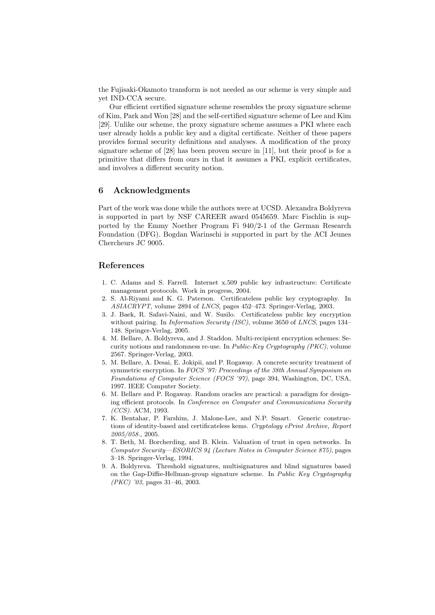the Fujisaki-Okamoto transform is not needed as our scheme is very simple and yet IND-CCA secure.

Our efficient certified signature scheme resembles the proxy signature scheme of Kim, Park and Won [28] and the self-certified signature scheme of Lee and Kim [29]. Unlike our scheme, the proxy signature scheme assumes a PKI where each user already holds a public key and a digital certificate. Neither of these papers provides formal security definitions and analyses. A modification of the proxy signature scheme of [28] has been proven secure in [11], but their proof is for a primitive that differs from ours in that it assumes a PKI, explicit certificates, and involves a different security notion.

## 6 Acknowledgments

Part of the work was done while the authors were at UCSD. Alexandra Boldyreva is supported in part by NSF CAREER award 0545659. Marc Fischlin is supported by the Emmy Noether Program Fi 940/2-1 of the German Research Foundation (DFG). Bogdan Warinschi is supported in part by the ACI Jeunes Chercheurs JC 9005.

## References

- 1. C. Adams and S. Farrell. Internet x.509 public key infrastructure: Certificate management protocols. Work in progress, 2004.
- 2. S. Al-Riyami and K. G. Paterson. Certificateless public key cryptography. In ASIACRYPT, volume 2894 of LNCS, pages 452–473. Springer-Verlag, 2003.
- 3. J. Baek, R. Safavi-Naini, and W. Susilo. Certificateless public key encryption without pairing. In *Information Security (ISC)*, volume 3650 of *LNCS*, pages 134– 148. Springer-Verlag, 2005.
- 4. M. Bellare, A. Boldyreva, and J. Staddon. Multi-recipient encryption schemes: Security notions and randomness re-use. In Public-Key Cryptography (PKC), volume 2567. Springer-Verlag, 2003.
- 5. M. Bellare, A. Desai, E. Jokipii, and P. Rogaway. A concrete security treatment of symmetric encryption. In FOCS '97: Proceedings of the 38th Annual Symposium on Foundations of Computer Science (FOCS '97), page 394, Washington, DC, USA, 1997. IEEE Computer Society.
- 6. M. Bellare and P. Rogaway. Random oracles are practical: a paradigm for designing efficient protocols. In Conference on Computer and Communications Security (CCS). ACM, 1993.
- 7. K. Bentahar, P. Farshim, J. Malone-Lee, and N.P. Smart. Generic constructions of identity-based and certificateless kems. Cryptology ePrint Archive, Report 2005/058., 2005.
- 8. T. Beth, M. Borcherding, and B. Klein. Valuation of trust in open networks. In Computer Security—ESORICS 94 (Lecture Notes in Computer Science 875), pages 3–18. Springer-Verlag, 1994.
- 9. A. Boldyreva. Threshold signatures, multisignatures and blind signatures based on the Gap-Diffie-Hellman-group signature scheme. In Public Key Cryptography (PKC) '03, pages 31–46, 2003.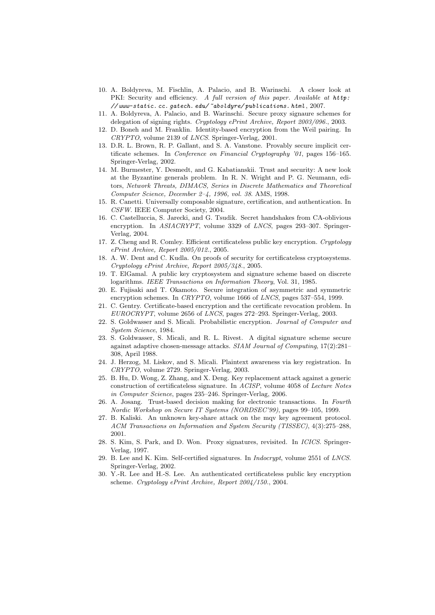- 10. A. Boldyreva, M. Fischlin, A. Palacio, and B. Warinschi. A closer look at PKI: Security and efficiency. A full version of this paper. Available at http: // www-static. cc. gatech. edu/ ~aboldyre/ publications. html , 2007.
- 11. A. Boldyreva, A. Palacio, and B. Warinschi. Secure proxy signaure schemes for delegation of signing rights. Cryptology ePrint Archive, Report 2003/096., 2003.
- 12. D. Boneh and M. Franklin. Identity-based encryption from the Weil pairing. In CRYPTO, volume 2139 of LNCS. Springer-Verlag, 2001.
- 13. D.R. L. Brown, R. P. Gallant, and S. A. Vanstone. Provably secure implicit certificate schemes. In Conference on Financial Cryptography '01, pages 156–165. Springer-Verlag, 2002.
- 14. M. Burmester, Y. Desmedt, and G. Kabatianskii. Trust and security: A new look at the Byzantine generals problem. In R. N. Wright and P. G. Neumann, editors, Network Threats, DIMACS, Series in Discrete Mathematics and Theoretical Computer Science, December 2–4, 1996, vol. 38. AMS, 1998.
- 15. R. Canetti. Universally composable signature, certification, and authentication. In CSFW. IEEE Computer Society, 2004.
- 16. C. Castelluccia, S. Jarecki, and G. Tsudik. Secret handshakes from CA-oblivious encryption. In ASIACRYPT, volume 3329 of LNCS, pages 293–307. Springer-Verlag, 2004.
- 17. Z. Cheng and R. Comley. Efficient certificateless public key encryption. Cryptology ePrint Archive, Report 2005/012., 2005.
- 18. A. W. Dent and C. Kudla. On proofs of security for certificateless cryptosystems. Cryptology ePrint Archive, Report 2005/348., 2005.
- 19. T. ElGamal. A public key cryptosystem and signature scheme based on discrete logarithms. IEEE Transactions on Information Theory, Vol. 31, 1985.
- 20. E. Fujisaki and T. Okamoto. Secure integration of asymmetric and symmetric encryption schemes. In CRYPTO, volume 1666 of LNCS, pages 537–554, 1999.
- 21. C. Gentry. Certificate-based encryption and the certificate revocation problem. In EUROCRYPT, volume 2656 of LNCS, pages 272–293. Springer-Verlag, 2003.
- 22. S. Goldwasser and S. Micali. Probabilistic encryption. Journal of Computer and System Science, 1984.
- 23. S. Goldwasser, S. Micali, and R. L. Rivest. A digital signature scheme secure against adaptive chosen-message attacks. SIAM Journal of Computing, 17(2):281– 308, April 1988.
- 24. J. Herzog, M. Liskov, and S. Micali. Plaintext awareness via key registration. In CRYPTO, volume 2729. Springer-Verlag, 2003.
- 25. B. Hu, D. Wong, Z. Zhang, and X. Deng. Key replacement attack against a generic construction of certificateless signature. In ACISP, volume 4058 of Lecture Notes in Computer Science, pages 235–246. Springer-Verlag, 2006.
- 26. A. Josang. Trust-based decision making for electronic transactions. In Fourth Nordic Workshop on Secure IT Systems (NORDSEC'99), pages 99–105, 1999.
- 27. B. Kaliski. An unknown key-share attack on the mqv key agreement protocol. ACM Transactions on Information and System Security (TISSEC), 4(3):275–288, 2001.
- 28. S. Kim, S. Park, and D. Won. Proxy signatures, revisited. In ICICS. Springer-Verlag, 1997.
- 29. B. Lee and K. Kim. Self-certified signatures. In Indocrypt, volume 2551 of LNCS. Springer-Verlag, 2002.
- 30. Y.-R. Lee and H.-S. Lee. An authenticated certificateless public key encryption scheme. Cryptology ePrint Archive, Report 2004/150., 2004.